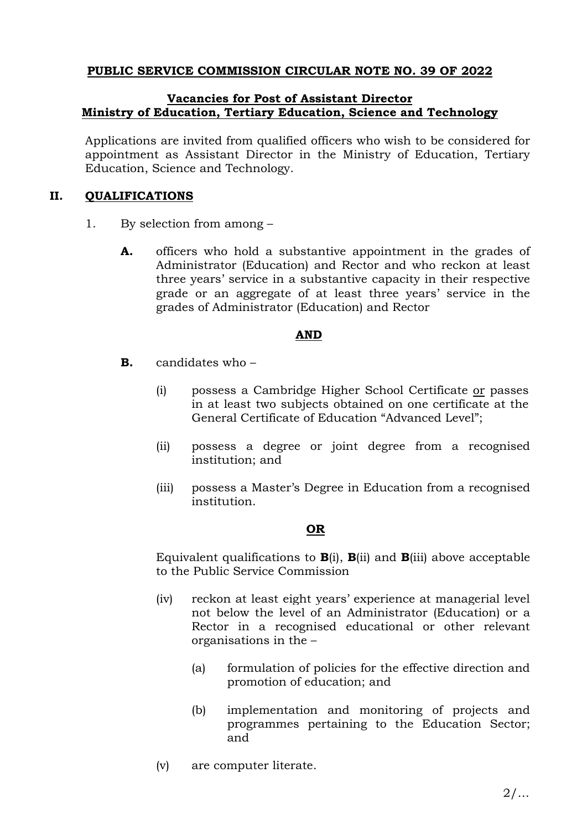## **PUBLIC SERVICE COMMISSION CIRCULAR NOTE NO. 39 OF 2022**

### **Vacancies for Post of Assistant Director Ministry of Education, Tertiary Education, Science and Technology**

Applications are invited from qualified officers who wish to be considered for appointment as Assistant Director in the Ministry of Education, Tertiary Education, Science and Technology.

## **II. QUALIFICATIONS**

- 1. By selection from among
	- **A.** officers who hold a substantive appointment in the grades of Administrator (Education) and Rector and who reckon at least three years' service in a substantive capacity in their respective grade or an aggregate of at least three years' service in the grades of Administrator (Education) and Rector

## **AND**

- **B.** candidates who
	- (i) possess a Cambridge Higher School Certificate or passes in at least two subjects obtained on one certificate at the General Certificate of Education "Advanced Level";
	- (ii) possess a degree or joint degree from a recognised institution; and
	- (iii) possess a Master's Degree in Education from a recognised institution.

## **OR**

Equivalent qualifications to **B**(i), **B**(ii) and **B**(iii) above acceptable to the Public Service Commission

- (iv) reckon at least eight years' experience at managerial level not below the level of an Administrator (Education) or a Rector in a recognised educational or other relevant organisations in the –
	- (a) formulation of policies for the effective direction and promotion of education; and
	- (b) implementation and monitoring of projects and programmes pertaining to the Education Sector; and
- (v) are computer literate.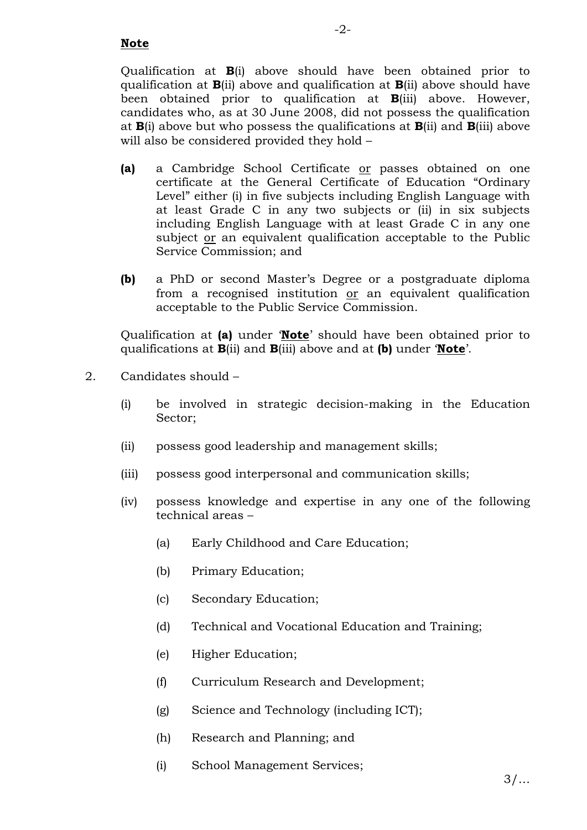Qualification at **B**(i) above should have been obtained prior to qualification at **B**(ii) above and qualification at **B**(ii) above should have been obtained prior to qualification at **B**(iii) above. However, candidates who, as at 30 June 2008, did not possess the qualification at **B**(i) above but who possess the qualifications at **B**(ii) and **B**(iii) above will also be considered provided they hold –

- **(a)** a Cambridge School Certificate or passes obtained on one certificate at the General Certificate of Education "Ordinary Level" either (i) in five subjects including English Language with at least Grade C in any two subjects or (ii) in six subjects including English Language with at least Grade C in any one subject or an equivalent qualification acceptable to the Public Service Commission; and
- **(b)** a PhD or second Master's Degree or a postgraduate diploma from a recognised institution or an equivalent qualification acceptable to the Public Service Commission.

Qualification at **(a)** under '**Note**' should have been obtained prior to qualifications at **B**(ii) and **B**(iii) above and at **(b)** under '**Note**'.

- 2. Candidates should
	- (i) be involved in strategic decision-making in the Education Sector;
	- (ii) possess good leadership and management skills;
	- (iii) possess good interpersonal and communication skills;
	- (iv) possess knowledge and expertise in any one of the following technical areas –
		- (a) Early Childhood and Care Education;
		- (b) Primary Education;
		- (c) Secondary Education;
		- (d) Technical and Vocational Education and Training;
		- (e) Higher Education;
		- (f) Curriculum Research and Development;
		- (g) Science and Technology (including ICT);
		- (h) Research and Planning; and
		- (i) School Management Services;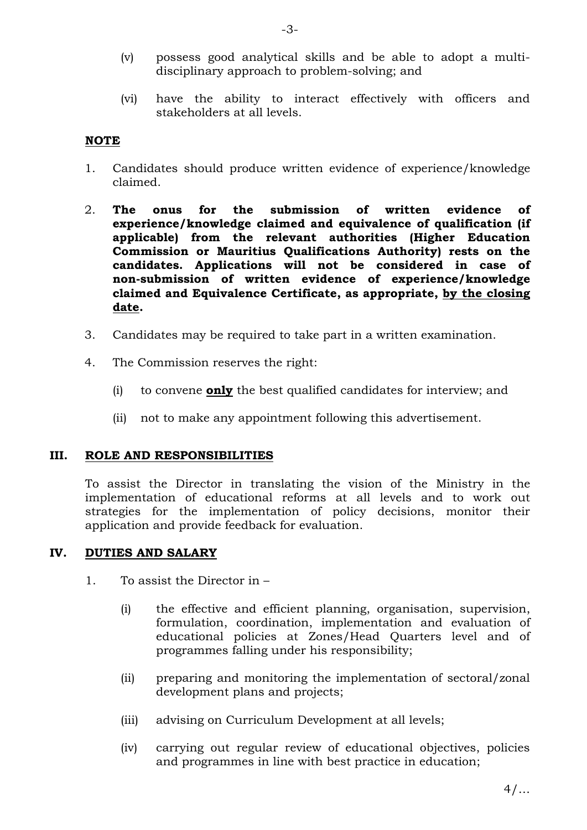- (v) possess good analytical skills and be able to adopt a multidisciplinary approach to problem-solving; and
- (vi) have the ability to interact effectively with officers and stakeholders at all levels.

### **NOTE**

- 1. Candidates should produce written evidence of experience/knowledge claimed.
- 2. **The onus for the submission of written evidence of experience/knowledge claimed and equivalence of qualification (if applicable) from the relevant authorities (Higher Education Commission or Mauritius Qualifications Authority) rests on the candidates. Applications will not be considered in case of non-submission of written evidence of experience/knowledge claimed and Equivalence Certificate, as appropriate, by the closing date.**
- 3. Candidates may be required to take part in a written examination.
- 4. The Commission reserves the right:
	- (i) to convene **only** the best qualified candidates for interview; and
	- (ii) not to make any appointment following this advertisement.

#### **III. ROLE AND RESPONSIBILITIES**

To assist the Director in translating the vision of the Ministry in the implementation of educational reforms at all levels and to work out strategies for the implementation of policy decisions, monitor their application and provide feedback for evaluation.

#### **IV. DUTIES AND SALARY**

- 1. To assist the Director in
	- (i) the effective and efficient planning, organisation, supervision, formulation, coordination, implementation and evaluation of educational policies at Zones/Head Quarters level and of programmes falling under his responsibility;
	- (ii) preparing and monitoring the implementation of sectoral/zonal development plans and projects;
	- (iii) advising on Curriculum Development at all levels;
	- (iv) carrying out regular review of educational objectives, policies and programmes in line with best practice in education;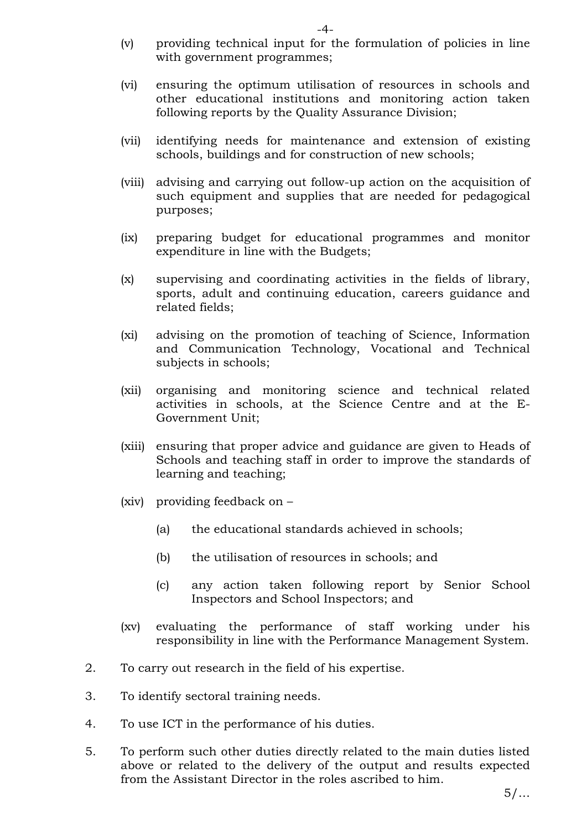- (v) providing technical input for the formulation of policies in line with government programmes;
- (vi) ensuring the optimum utilisation of resources in schools and other educational institutions and monitoring action taken following reports by the Quality Assurance Division;
- (vii) identifying needs for maintenance and extension of existing schools, buildings and for construction of new schools;
- (viii) advising and carrying out follow-up action on the acquisition of such equipment and supplies that are needed for pedagogical purposes;
- (ix) preparing budget for educational programmes and monitor expenditure in line with the Budgets;
- (x) supervising and coordinating activities in the fields of library, sports, adult and continuing education, careers guidance and related fields;
- (xi) advising on the promotion of teaching of Science, Information and Communication Technology, Vocational and Technical subjects in schools;
- (xii) organising and monitoring science and technical related activities in schools, at the Science Centre and at the E-Government Unit;
- (xiii) ensuring that proper advice and guidance are given to Heads of Schools and teaching staff in order to improve the standards of learning and teaching;
- (xiv) providing feedback on
	- (a) the educational standards achieved in schools;
	- (b) the utilisation of resources in schools; and
	- (c) any action taken following report by Senior School Inspectors and School Inspectors; and
- (xv) evaluating the performance of staff working under his responsibility in line with the Performance Management System.
- 2. To carry out research in the field of his expertise.
- 3. To identify sectoral training needs.
- 4. To use ICT in the performance of his duties.
- 5. To perform such other duties directly related to the main duties listed above or related to the delivery of the output and results expected from the Assistant Director in the roles ascribed to him.